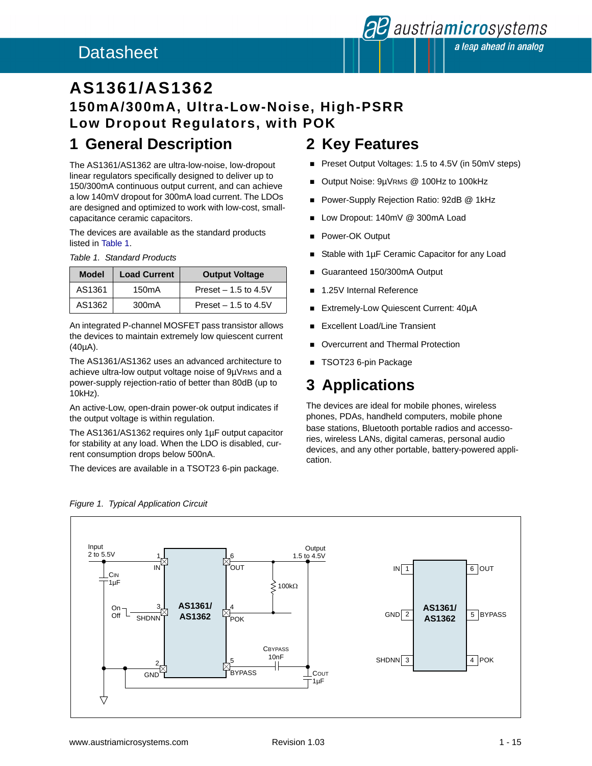### <span id="page-0-0"></span>Datasheet

### **AS1361/AS1362 150mA/300mA, Ultra-Low-Noise, High-PSRR Low Dropout Regulators, with POK**

### **1 General Description**

The AS1361/AS1362 are ultra-low-noise, low-dropout linear regulators specifically designed to deliver up to 150/300mA continuous output current, and can achieve a low 140mV dropout for 300mA load current. The LDOs are designed and optimized to work with low-cost, smallcapacitance ceramic capacitors.

The devices are available as the standard products listed in Table 1.

|  | Table 1. Standard Products |  |
|--|----------------------------|--|
|--|----------------------------|--|

| <b>Model</b> | <b>Load Current</b> | <b>Output Voltage</b> |
|--------------|---------------------|-----------------------|
| AS1361       | 150 <sub>m</sub> A  | Preset $-1.5$ to 4.5V |
| AS1362       | 300mA               | Preset $-1.5$ to 4.5V |

An integrated P-channel MOSFET pass transistor allows the devices to maintain extremely low quiescent current (40µA).

The AS1361/AS1362 uses an advanced architecture to achieve ultra-low output voltage noise of 9µVRMS and a power-supply rejection-ratio of better than 80dB (up to 10kHz).

An active-Low, open-drain power-ok output indicates if the output voltage is within regulation.

The AS1361/AS1362 requires only 1µF output capacitor for stability at any load. When the LDO is disabled, current consumption drops below 500nA.

The devices are available in a TSOT23 6-pin package.

### **2 Key Features**

- Preset Output Voltages: 1.5 to 4.5V (in 50mV steps)
- Output Noise: 9µVRMS @ 100Hz to 100kHz
- **Power-Supply Rejection Ratio: 92dB @ 1kHz**
- **Low Dropout: 140mV @ 300mA Load**
- **Power-OK Output**
- Stable with 1µF Ceramic Capacitor for any Load
- Guaranteed 150/300mA Output
- 1.25V Internal Reference
- Extremely-Low Quiescent Current: 40µA
- Excellent Load/Line Transient
- Overcurrent and Thermal Protection
- TSOT23 6-pin Package

### **3 Applications**

The devices are ideal for mobile phones, wireless phones, PDAs, handheld computers, mobile phone base stations, Bluetooth portable radios and accessories, wireless LANs, digital cameras, personal audio devices, and any other portable, battery-powered application.



#### *Figure 1. Typical Application Circuit*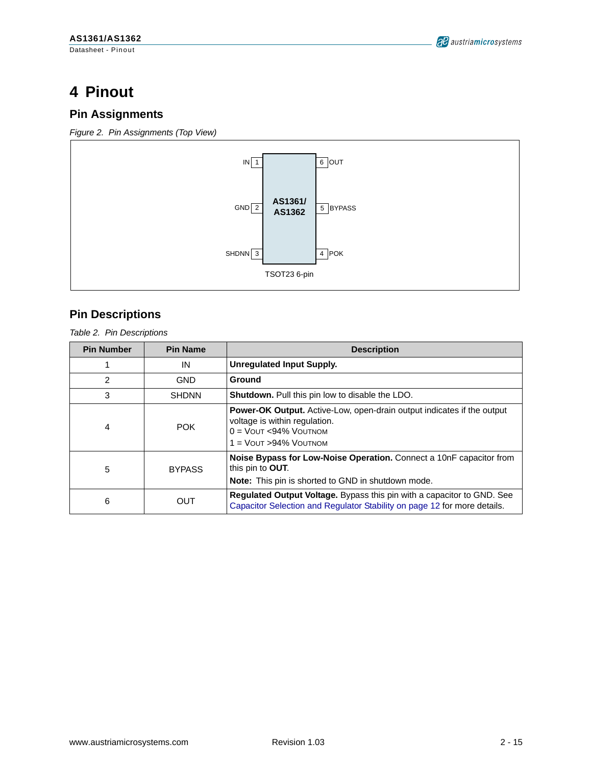## **4 Pinout**

### **Pin Assignments**

*Figure 2. Pin Assignments (Top View)*



### **Pin Descriptions**

*Table 2. Pin Descriptions*

| <b>Pin Number</b> | <b>Pin Name</b> | <b>Description</b>                                                                                                                                                    |
|-------------------|-----------------|-----------------------------------------------------------------------------------------------------------------------------------------------------------------------|
| 1                 | IN              | <b>Unregulated Input Supply.</b>                                                                                                                                      |
| $\overline{c}$    | <b>GND</b>      | Ground                                                                                                                                                                |
| 3                 | <b>SHDNN</b>    | <b>Shutdown.</b> Pull this pin low to disable the LDO.                                                                                                                |
| 4                 | <b>POK</b>      | <b>Power-OK Output.</b> Active-Low, open-drain output indicates if the output<br>voltage is within regulation.<br>$0 =$ VOUT <94% VOUTNOM<br>$1 =$ VOUT > 94% VOUTNOM |
| 5                 | <b>BYPASS</b>   | Noise Bypass for Low-Noise Operation. Connect a 10nF capacitor from<br>this pin to <b>OUT</b> .<br>Note: This pin is shorted to GND in shutdown mode.                 |
| 6                 | OUT             | Regulated Output Voltage. Bypass this pin with a capacitor to GND. See<br>Capacitor Selection and Regulator Stability on page 12 for more details.                    |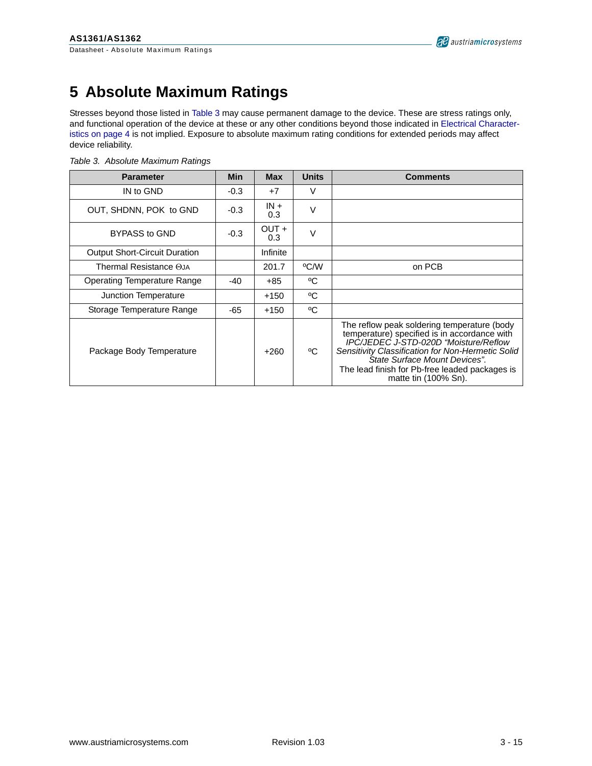## **5 Absolute Maximum Ratings**

Stresses beyond those listed in Table 3 may cause permanent damage to the device. These are stress ratings only, and functional operation of the device at these or any other conditions beyond those indicated in [Electrical Character](#page-3-0)[istics on page 4](#page-3-0) is not implied. Exposure to absolute maximum rating conditions for extended periods may affect device reliability.

|  |  | Table 3. Absolute Maximum Ratings |  |
|--|--|-----------------------------------|--|
|--|--|-----------------------------------|--|

| <b>Parameter</b>                     | <b>Min</b> | <b>Max</b>    | <b>Units</b> | <b>Comments</b>                                                                                                                                                                                                                                                                                      |
|--------------------------------------|------------|---------------|--------------|------------------------------------------------------------------------------------------------------------------------------------------------------------------------------------------------------------------------------------------------------------------------------------------------------|
| IN to GND                            | $-0.3$     | $+7$          | V            |                                                                                                                                                                                                                                                                                                      |
| OUT, SHDNN, POK to GND               | $-0.3$     | $IN +$<br>0.3 | V            |                                                                                                                                                                                                                                                                                                      |
| <b>BYPASS to GND</b>                 | $-0.3$     | OUT +<br>0.3  | V            |                                                                                                                                                                                                                                                                                                      |
| <b>Output Short-Circuit Duration</b> |            | Infinite      |              |                                                                                                                                                                                                                                                                                                      |
| Thermal Resistance OJA               |            | 201.7         | °C/W         | on PCB                                                                                                                                                                                                                                                                                               |
| Operating Temperature Range          | $-40$      | +85           | °C           |                                                                                                                                                                                                                                                                                                      |
| Junction Temperature                 |            | $+150$        | °C           |                                                                                                                                                                                                                                                                                                      |
| Storage Temperature Range            | $-65$      | $+150$        | °C           |                                                                                                                                                                                                                                                                                                      |
| Package Body Temperature             |            | $+260$        | °C           | The reflow peak soldering temperature (body<br>temperature) specified is in accordance with<br>IPC/JEDEC J-STD-020D "Moisture/Reflow<br>Sensitivity Classification for Non-Hermetic Solid<br>State Surface Mount Devices".<br>The lead finish for Pb-free leaded packages is<br>matte tin (100% Sn). |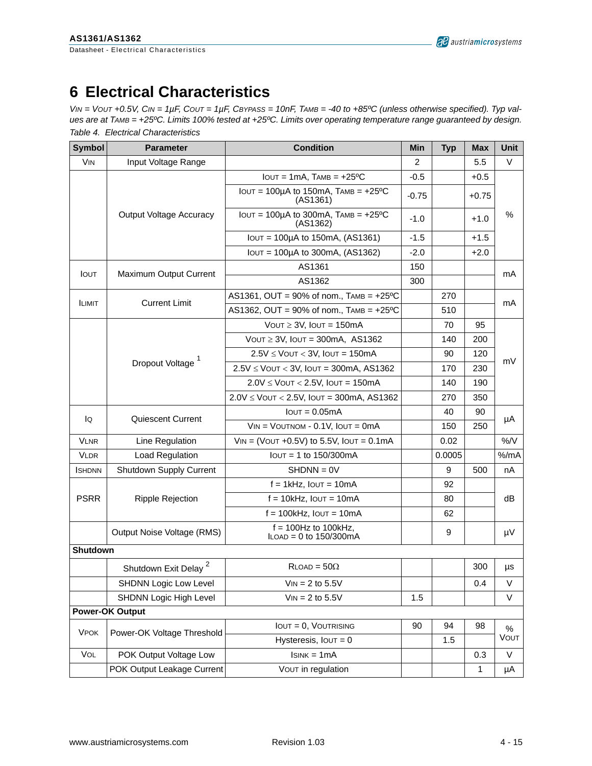## <span id="page-3-0"></span>**6 Electrical Characteristics**

*VIN = VOUT +0.5V, CIN = 1µF, COUT = 1µF, CBYPASS = 10nF, TAMB = -40 to +85ºC (unless otherwise specified). Typ values are at TAMB = +25ºC. Limits 100% tested at +25ºC. Limits over operating temperature range guaranteed by design. Table 4. Electrical Characteristics*

| <b>Symbol</b>         | <b>Parameter</b>                 | <b>Condition</b>                                                  | Min            | <b>Typ</b> | <b>Max</b> | Unit   |  |
|-----------------------|----------------------------------|-------------------------------------------------------------------|----------------|------------|------------|--------|--|
| <b>V<sub>IN</sub></b> | Input Voltage Range              |                                                                   | $\overline{2}$ |            | 5.5        | $\vee$ |  |
|                       |                                  | $IOUT = 1mA$ , $TAMB = +25°C$                                     | $-0.5$         |            | $+0.5$     |        |  |
|                       |                                  | IOUT = $100\mu$ A to 150mA, TAMB = $+25\textdegree C$<br>(AS1361) | $-0.75$        |            | $+0.75$    |        |  |
|                       | <b>Output Voltage Accuracy</b>   | $IOUT = 100\mu A$ to 300mA, $TAMB = +25\textdegree C$<br>(AS1362) | $-1.0$         |            | $+1.0$     | $\%$   |  |
|                       |                                  | $IOUT = 100\mu A$ to 150mA, (AS1361)                              | $-1.5$         |            | $+1.5$     |        |  |
|                       |                                  | IOUT = 100µA to 300mA, (AS1362)                                   | $-2.0$         |            | $+2.0$     |        |  |
|                       |                                  | AS1361                                                            | 150            |            |            |        |  |
| <b>IOUT</b>           | Maximum Output Current           | AS1362                                                            | 300            |            |            | mA     |  |
|                       |                                  | AS1361, OUT = $90\%$ of nom., TAMB = $+25\degree$ C               |                | 270        |            |        |  |
| <b>ILIMIT</b>         | <b>Current Limit</b>             | AS1362, OUT = $90\%$ of nom., TAMB = $+25\degree$ C               |                | 510        |            | mA     |  |
|                       |                                  | VOUT $\geq$ 3V, IOUT = 150mA                                      |                | 70         | 95         |        |  |
|                       |                                  | VOUT $\geq$ 3V, IOUT = 300mA, AS1362                              |                | 140        | 200        |        |  |
|                       |                                  | $2.5V \leq$ VOUT < 3V, IOUT = 150mA                               |                | 90         | 120        |        |  |
|                       | Dropout Voltage <sup>1</sup>     | $2.5V \leq$ VOUT < 3V, IOUT = 300mA, AS1362                       |                | 170        | 230        | mV     |  |
|                       |                                  | $2.0V \leq$ VOUT < 2.5V, IOUT = 150mA                             |                | 140        | 190        |        |  |
|                       |                                  | $2.0V \leq$ VOUT < 2.5V, IOUT = 300mA, AS1362                     |                | 270        | 350        |        |  |
|                       | Quiescent Current                | $IOUT = 0.05mA$                                                   |                | 40         | 90         |        |  |
| lQ                    |                                  | $V_{IN}$ = $V$ OUTNOM - 0.1V, $I$ OUT = 0mA                       |                | 150        | 250        | μA     |  |
| <b>VLNR</b>           | Line Regulation                  | $V_{IN}$ = (VOUT +0.5V) to 5.5V, IOUT = 0.1mA                     |                | 0.02       |            | %N     |  |
| <b>VLDR</b>           | Load Regulation                  | $IOUT = 1 to 150/300mA$                                           |                | 0.0005     |            | % /mA  |  |
| <b>I</b> SHDNN        | Shutdown Supply Current          | $SHDNN = 0V$                                                      |                | 9          | 500        | nA     |  |
|                       |                                  | $f = 1$ kHz, $IOUT = 10$ mA                                       |                | 92         |            |        |  |
| <b>PSRR</b>           | Ripple Rejection                 | $f = 10kHz$ , $IOUT = 10mA$                                       |                | 80         |            | dB     |  |
|                       |                                  | $f = 100$ kHz, $I$ OUT = 10mA                                     |                | 62         |            |        |  |
|                       | Output Noise Voltage (RMS)       | $f = 100$ Hz to 100kHz.<br>$LOAD = 0$ to 150/300mA                |                | 9          |            | μV     |  |
| Shutdown              |                                  |                                                                   |                |            |            |        |  |
|                       | Shutdown Exit Delay <sup>2</sup> | $R$ LOAD = 50 $\Omega$                                            |                |            | 300        | μs     |  |
|                       | <b>SHDNN Logic Low Level</b>     | $V_{IN} = 2$ to 5.5V                                              |                |            | 0.4        | V      |  |
|                       | SHDNN Logic High Level           | $V_{IN} = 2$ to 5.5V                                              | 1.5            |            |            | V      |  |
|                       | <b>Power-OK Output</b>           |                                                                   |                |            |            |        |  |
|                       |                                  | $IOUT = 0$ , $VOUTRISING$                                         | 90             | 94         | 98         | $\%$   |  |
| <b>VPOK</b>           | Power-OK Voltage Threshold       | Hysteresis, $IOUT = 0$                                            |                | 1.5        |            | VOUT   |  |
| VOL                   | POK Output Voltage Low           | $IsINK = 1mA$                                                     |                |            | 0.3        | V      |  |
|                       | POK Output Leakage Current       | VOUT in regulation                                                |                |            | 1          | μA     |  |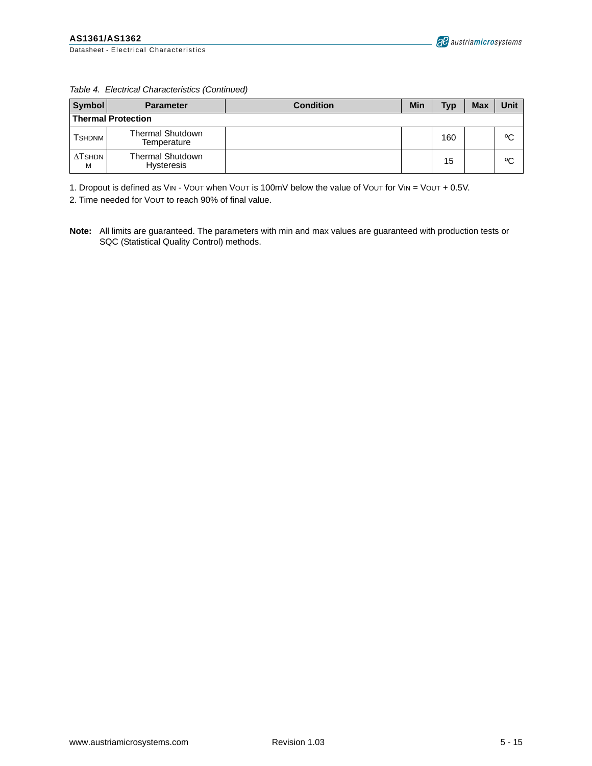|  |  | Table 4. Electrical Characteristics (Continued) |  |
|--|--|-------------------------------------------------|--|
|--|--|-------------------------------------------------|--|

| Symbol                    | <b>Parameter</b>                       | <b>Condition</b> | Min | <b>Typ</b> | <b>Max</b> | Unit |
|---------------------------|----------------------------------------|------------------|-----|------------|------------|------|
| <b>Thermal Protection</b> |                                        |                  |     |            |            |      |
| <b>TSHDNM</b>             | <b>Thermal Shutdown</b><br>Temperature |                  |     | 160        |            | °C   |
| $\Delta$ TSHDN<br>M       | Thermal Shutdown<br><b>Hysteresis</b>  |                  |     | 15         |            | °C   |

1. Dropout is defined as VIN - VOUT when VOUT is 100mV below the value of VOUT for VIN = VOUT + 0.5V.

2. Time needed for VOUT to reach 90% of final value.

**Note:** All limits are guaranteed. The parameters with min and max values are guaranteed with production tests or SQC (Statistical Quality Control) methods.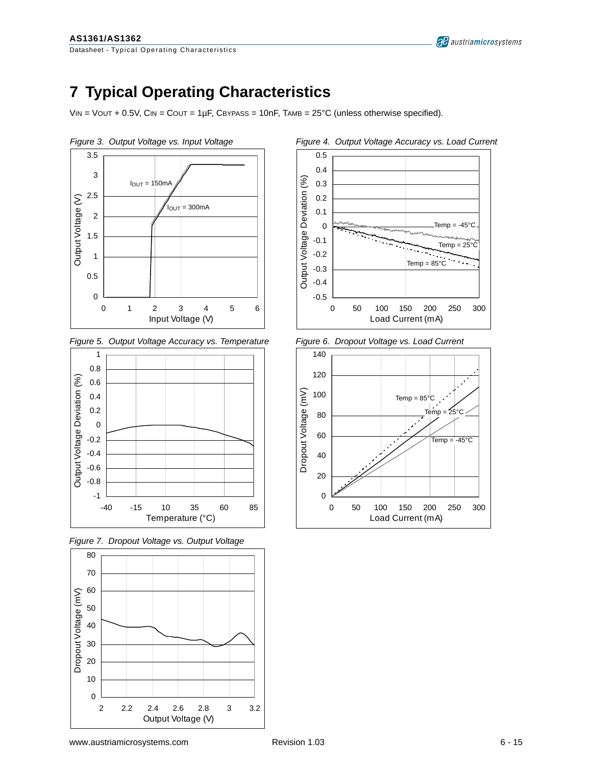<span id="page-5-0"></span>Datasheet - Typical Operating Characteristics

# **7 Typical Operating Characteristics**

 $V_{IN}$  = VOUT + 0.5V, CIN = COUT = 1µF, CBYPASS = 10nF, TAMB = 25°C (unless otherwise specified).



*Figure 5. Output Voltage Accuracy vs. Temperature Figure 6. Dropout Voltage vs. Load Current*



*Figure 7. Dropout Voltage vs. Output Voltage*





al austriamicrosystems



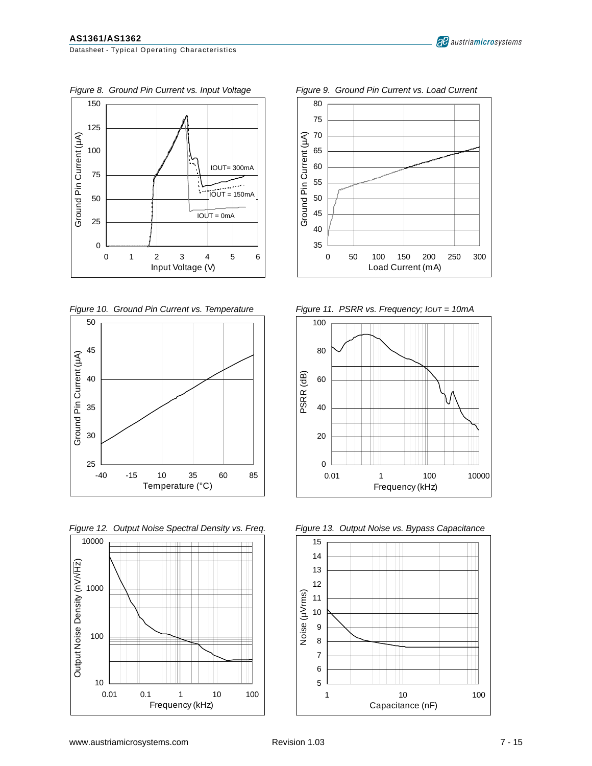

*Figure 10. Ground Pin Current vs. Temperature Figure 11. PSRR vs. Frequency; IOUT = 10mA*







<span id="page-6-0"></span>Figure 8. Ground Pin Current vs. Input Voltage Figure 9. Ground Pin Current vs. Load Current





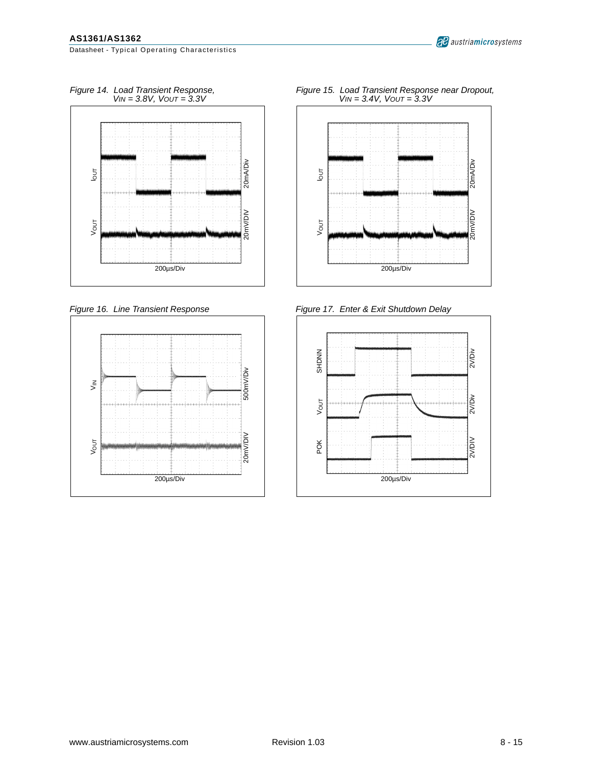<span id="page-7-0"></span>Datasheet - Typical Operating Characteristics







*Figure 15. Load Transient Response near Dropout, VIN = 3.4V, VOUT = 3.3V*



*Figure 16. Line Transient Response Figure 17. Enter & Exit Shutdown Delay*

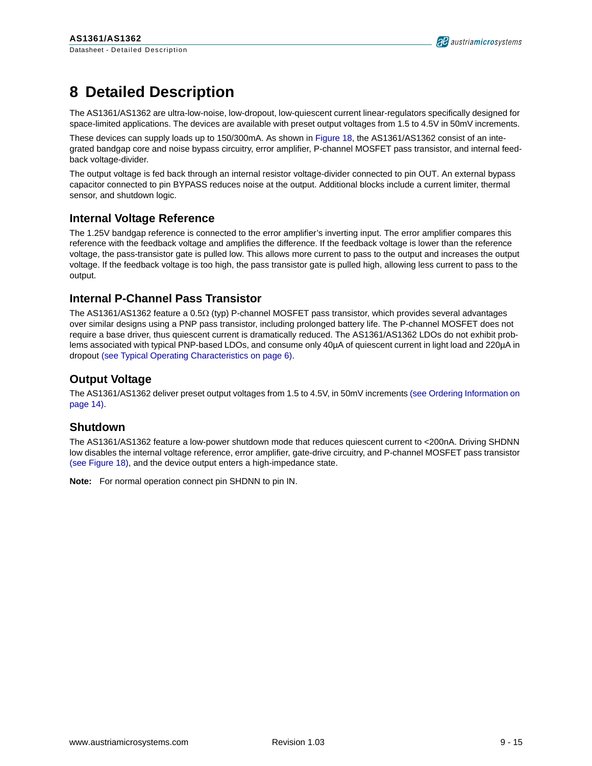## **8 Detailed Description**

The AS1361/AS1362 are ultra-low-noise, low-dropout, low-quiescent current linear-regulators specifically designed for space-limited applications. The devices are available with preset output voltages from 1.5 to 4.5V in 50mV increments.

These devices can supply loads up to 150/300mA. As shown in [Figure 18](#page-9-0), the AS1361/AS1362 consist of an integrated bandgap core and noise bypass circuitry, error amplifier, P-channel MOSFET pass transistor, and internal feedback voltage-divider.

The output voltage is fed back through an internal resistor voltage-divider connected to pin OUT. An external bypass capacitor connected to pin BYPASS reduces noise at the output. Additional blocks include a current limiter, thermal sensor, and shutdown logic.

#### **Internal Voltage Reference**

The 1.25V bandgap reference is connected to the error amplifier's inverting input. The error amplifier compares this reference with the feedback voltage and amplifies the difference. If the feedback voltage is lower than the reference voltage, the pass-transistor gate is pulled low. This allows more current to pass to the output and increases the output voltage. If the feedback voltage is too high, the pass transistor gate is pulled high, allowing less current to pass to the output.

#### **Internal P-Channel Pass Transistor**

The AS1361/AS1362 feature a 0.5Ω (typ) P-channel MOSFET pass transistor, which provides several advantages over similar designs using a PNP pass transistor, including prolonged battery life. The P-channel MOSFET does not require a base driver, thus quiescent current is dramatically reduced. The AS1361/AS1362 LDOs do not exhibit problems associated with typical PNP-based LDOs, and consume only 40µA of quiescent current in light load and 220µA in dropout [\(see Typical Operating Characteristics on page 6\)](#page-5-0).

#### **Output Voltage**

The AS1361/AS1362 deliver preset output voltages from 1.5 to 4.5V, in 50mV increments [\(see Ordering Information on](#page-13-0)  [page 14\)](#page-13-0).

#### **Shutdown**

The AS1361/AS1362 feature a low-power shutdown mode that reduces quiescent current to <200nA. Driving SHDNN low disables the internal voltage reference, error amplifier, gate-drive circuitry, and P-channel MOSFET pass transistor [\(see Figure 18\),](#page-9-0) and the device output enters a high-impedance state.

**Note:** For normal operation connect pin SHDNN to pin IN.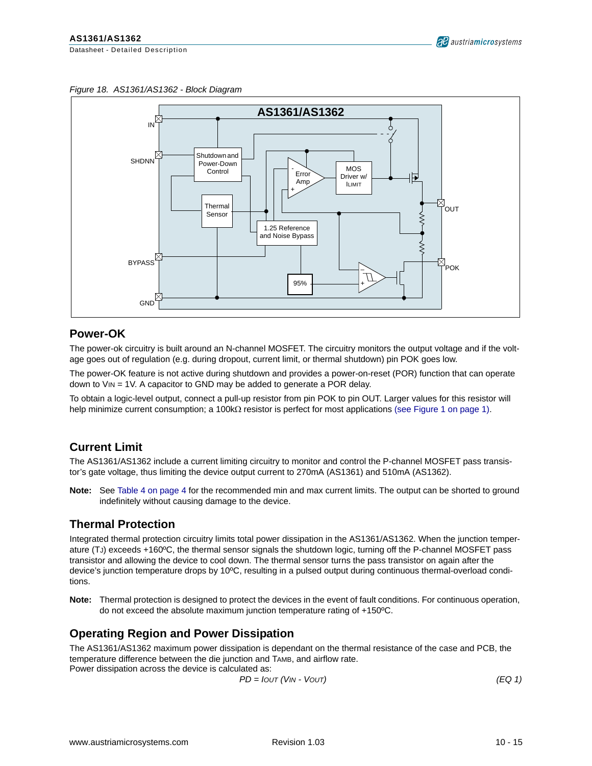<span id="page-9-0"></span>*Figure 18. AS1361/AS1362 - Block Diagram*



#### **Power-OK**

The power-ok circuitry is built around an N-channel MOSFET. The circuitry monitors the output voltage and if the voltage goes out of regulation (e.g. during dropout, current limit, or thermal shutdown) pin POK goes low.

The power-OK feature is not active during shutdown and provides a power-on-reset (POR) function that can operate down to VIN = 1V. A capacitor to GND may be added to generate a POR delay.

To obtain a logic-level output, connect a pull-up resistor from pin POK to pin OUT. Larger values for this resistor will help minimize current consumption; a 100kΩ resistor is perfect for most applications [\(see Figure 1 on page 1\)](#page-0-0).

#### **Current Limit**

The AS1361/AS1362 include a current limiting circuitry to monitor and control the P-channel MOSFET pass transistor's gate voltage, thus limiting the device output current to 270mA (AS1361) and 510mA (AS1362).

**Note:** See [Table 4 on page 4](#page-3-0) for the recommended min and max current limits. The output can be shorted to ground indefinitely without causing damage to the device.

#### **Thermal Protection**

Integrated thermal protection circuitry limits total power dissipation in the AS1361/AS1362. When the junction temperature (TJ) exceeds +160ºC, the thermal sensor signals the shutdown logic, turning off the P-channel MOSFET pass transistor and allowing the device to cool down. The thermal sensor turns the pass transistor on again after the device's junction temperature drops by 10ºC, resulting in a pulsed output during continuous thermal-overload conditions.

**Note:** Thermal protection is designed to protect the devices in the event of fault conditions. For continuous operation, do not exceed the absolute maximum junction temperature rating of +150ºC.

#### **Operating Region and Power Dissipation**

The AS1361/AS1362 maximum power dissipation is dependant on the thermal resistance of the case and PCB, the temperature difference between the die junction and TAMB, and airflow rate. Power dissipation across the device is calculated as:

$$
PD = IOUT (VIN - VOUT) \tag{EQ 1}
$$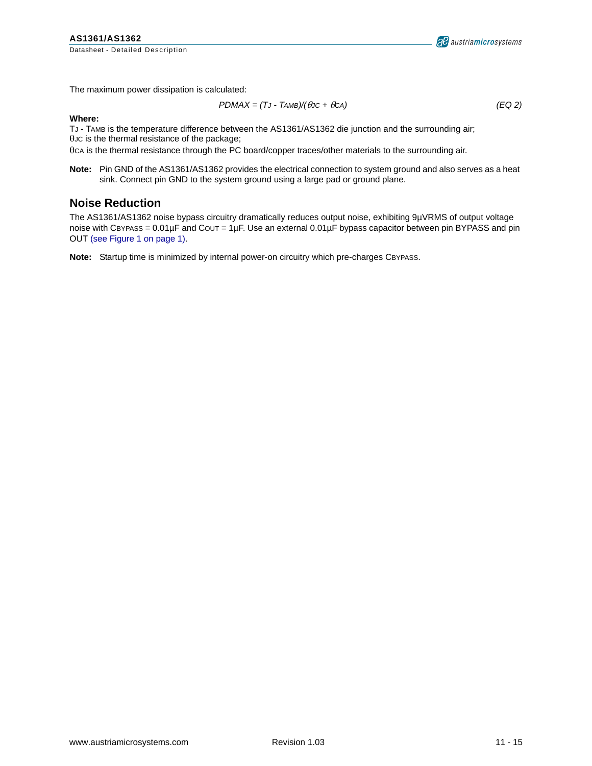Datasheet - Detailed Description

The maximum power dissipation is calculated:

$$
PDMAX = (TJ - TAMB)/(\theta JC + \theta Ca)
$$
 (EQ2)

#### **Where:**

TJ - TAMB is the temperature difference between the AS1361/AS1362 die junction and the surrounding air;

θJC is the thermal resistance of the package;

θCA is the thermal resistance through the PC board/copper traces/other materials to the surrounding air.

**Note:** Pin GND of the AS1361/AS1362 provides the electrical connection to system ground and also serves as a heat sink. Connect pin GND to the system ground using a large pad or ground plane.

#### **Noise Reduction**

The AS1361/AS1362 noise bypass circuitry dramatically reduces output noise, exhibiting 9µVRMS of output voltage noise with CBYPASS = 0.01µF and COUT = 1µF. Use an external 0.01µF bypass capacitor between pin BYPASS and pin OUT [\(see Figure 1 on page 1\).](#page-0-0)

**Note:** Startup time is minimized by internal power-on circuitry which pre-charges CBYPASS.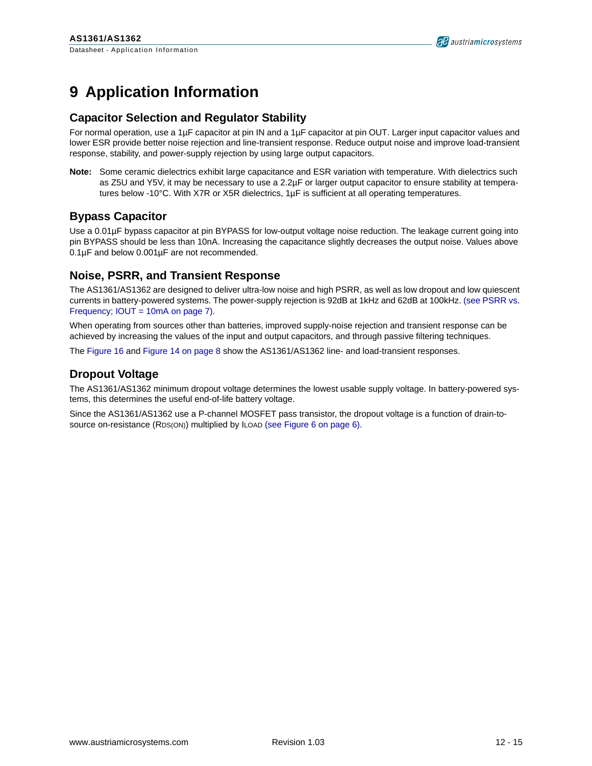### <span id="page-11-0"></span>**9 Application Information**

#### **Capacitor Selection and Regulator Stability**

For normal operation, use a 1µF capacitor at pin IN and a 1µF capacitor at pin OUT. Larger input capacitor values and lower ESR provide better noise rejection and line-transient response. Reduce output noise and improve load-transient response, stability, and power-supply rejection by using large output capacitors.

**Note:** Some ceramic dielectrics exhibit large capacitance and ESR variation with temperature. With dielectrics such as Z5U and Y5V, it may be necessary to use a 2.2µF or larger output capacitor to ensure stability at temperatures below -10°C. With X7R or X5R dielectrics, 1µF is sufficient at all operating temperatures.

#### **Bypass Capacitor**

Use a 0.01µF bypass capacitor at pin BYPASS for low-output voltage noise reduction. The leakage current going into pin BYPASS should be less than 10nA. Increasing the capacitance slightly decreases the output noise. Values above 0.1µF and below 0.001µF are not recommended.

#### **Noise, PSRR, and Transient Response**

The AS1361/AS1362 are designed to deliver ultra-low noise and high PSRR, as well as low dropout and low quiescent currents in battery-powered systems. The power-supply rejection is 92dB at 1kHz and 62dB at 100kHz. [\(see PSRR vs.](#page-6-0)  [Frequency; IOUT = 10mA on page 7\)](#page-6-0).

When operating from sources other than batteries, improved supply-noise rejection and transient response can be achieved by increasing the values of the input and output capacitors, and through passive filtering techniques.

The [Figure 16](#page-7-0) and [Figure 14 on page 8](#page-7-0) show the AS1361/AS1362 line- and load-transient responses.

#### **Dropout Voltage**

The AS1361/AS1362 minimum dropout voltage determines the lowest usable supply voltage. In battery-powered systems, this determines the useful end-of-life battery voltage.

Since the AS1361/AS1362 use a P-channel MOSFET pass transistor, the dropout voltage is a function of drain-to-source on-resistance (RDS(ON)) multiplied by ILOAD [\(see Figure 6 on page 6\)](#page-5-0).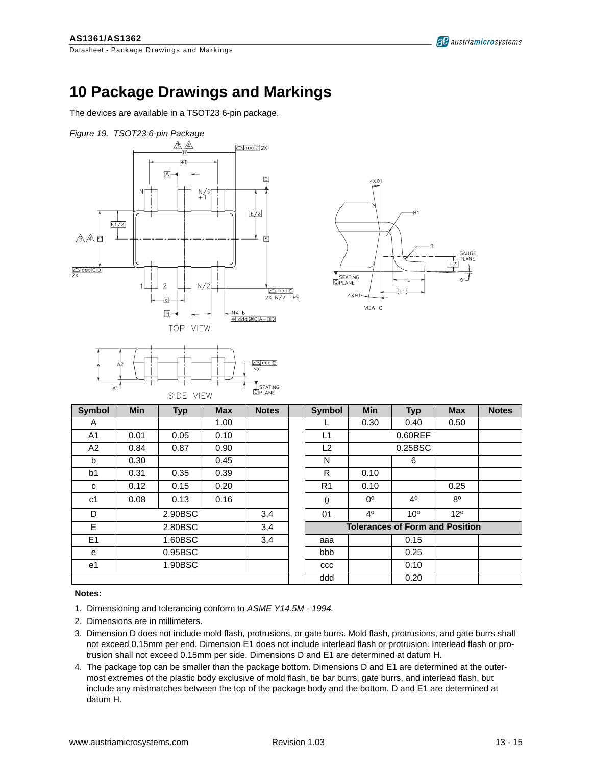GAUGE<br>PLANE  $\overline{12}$ 

VIEW C

## **10 Package Drawings and Markings**

The devices are available in a TSOT23 6-pin package.



#### **Notes:**

- 1. Dimensioning and tolerancing conform to *ASME Y14.5M 1994.*
- 2. Dimensions are in millimeters.
- 3. Dimension D does not include mold flash, protrusions, or gate burrs. Mold flash, protrusions, and gate burrs shall not exceed 0.15mm per end. Dimension E1 does not include interlead flash or protrusion. Interlead flash or protrusion shall not exceed 0.15mm per side. Dimensions D and E1 are determined at datum H.
- 4. The package top can be smaller than the package bottom. Dimensions D and E1 are determined at the outermost extremes of the plastic body exclusive of mold flash, tie bar burrs, gate burrs, and interlead flash, but include any mistmatches between the top of the package body and the bottom. D and E1 are determined at datum H.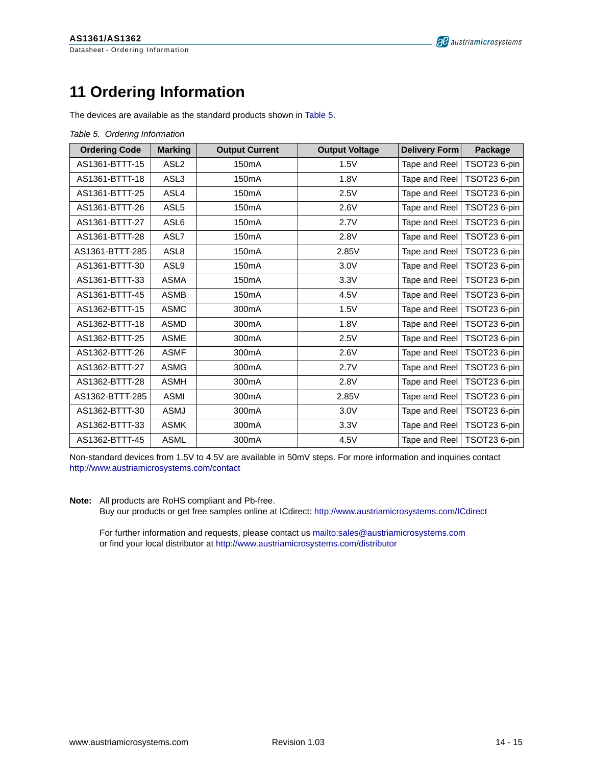<span id="page-13-0"></span>Datasheet - Ordering Information

## **11 Ordering Information**

The devices are available as the standard products shown in Table 5.

|  | Table 5. Ordering Information |
|--|-------------------------------|
|  |                               |

| <b>Ordering Code</b> | <b>Marking</b>   | <b>Output Current</b> | <b>Output Voltage</b> | Delivery Form | Package                      |
|----------------------|------------------|-----------------------|-----------------------|---------------|------------------------------|
| AS1361-BTTT-15       | ASL <sub>2</sub> | 150 <sub>m</sub> A    | 1.5V                  | Tape and Reel | TSOT23 6-pin                 |
| AS1361-BTTT-18       | ASL3             | 150 <sub>m</sub> A    | 1.8V                  | Tape and Reel | TSOT23 6-pin                 |
| AS1361-BTTT-25       | ASL4             | 150 <sub>m</sub> A    | 2.5V                  | Tape and Reel | TSOT23 6-pin                 |
| AS1361-BTTT-26       | ASL <sub>5</sub> | 150 <sub>m</sub> A    | 2.6V                  | Tape and Reel | TSOT23 6-pin                 |
| AS1361-BTTT-27       | ASL6             | 150 <sub>m</sub> A    | 2.7V                  | Tape and Reel | TSOT23 6-pin                 |
| AS1361-BTTT-28       | ASL7             | 150 <sub>m</sub> A    | 2.8V                  | Tape and Reel | TSOT23 6-pin                 |
| AS1361-BTTT-285      | ASL <sub>8</sub> | 150 <sub>m</sub> A    | 2.85V                 | Tape and Reel | TSOT23 6-pin                 |
| AS1361-BTTT-30       | ASL9             | 150 <sub>m</sub> A    | 3.0V                  | Tape and Reel | TSOT23 6-pin                 |
| AS1361-BTTT-33       | <b>ASMA</b>      | 150 <sub>m</sub> A    | 3.3V                  | Tape and Reel | TSOT23 6-pin                 |
| AS1361-BTTT-45       | <b>ASMB</b>      | 150 <sub>m</sub> A    | 4.5V                  | Tape and Reel | TSOT23 6-pin                 |
| AS1362-BTTT-15       | <b>ASMC</b>      | 300 <sub>m</sub> A    | 1.5V                  | Tape and Reel | TSOT23 6-pin                 |
| AS1362-BTTT-18       | <b>ASMD</b>      | 300 <sub>m</sub> A    | 1.8V                  | Tape and Reel | TSOT23 6-pin                 |
| AS1362-BTTT-25       | <b>ASME</b>      | 300mA                 | 2.5V                  | Tape and Reel | TSOT23 6-pin                 |
| AS1362-BTTT-26       | <b>ASMF</b>      | 300mA                 | 2.6V                  | Tape and Reel | TSOT23 6-pin                 |
| AS1362-BTTT-27       | <b>ASMG</b>      | 300 <sub>m</sub> A    | 2.7V                  | Tape and Reel | TSOT23 6-pin                 |
| AS1362-BTTT-28       | <b>ASMH</b>      | 300 <sub>m</sub> A    | 2.8V                  | Tape and Reel | TSOT23 6-pin                 |
| AS1362-BTTT-285      | <b>ASMI</b>      | 300mA                 | 2.85V                 | Tape and Reel | TSOT23 6-pin                 |
| AS1362-BTTT-30       | ASMJ             | 300mA                 | 3.0V                  | Tape and Reel | TSOT23 6-pin                 |
| AS1362-BTTT-33       | <b>ASMK</b>      | 300 <sub>m</sub> A    | 3.3V                  | Tape and Reel | TSOT23 6-pin                 |
| AS1362-BTTT-45       | <b>ASML</b>      | 300 <sub>m</sub> A    | 4.5V                  |               | Tape and Reel   TSOT23 6-pin |

Non-standard devices from 1.5V to 4.5V are available in 50mV steps. For more information and inquiries contact <http://www.austriamicrosystems.com/contact>

**Note:** All products are RoHS compliant and Pb-free.

Buy our products or get free samples online at ICdirect:<http://www.austriamicrosystems.com/ICdirect>

For further information and requests, please contact us <mailto:sales@austriamicrosystems.com> or find your local distributor at<http://www.austriamicrosystems.com/distributor>